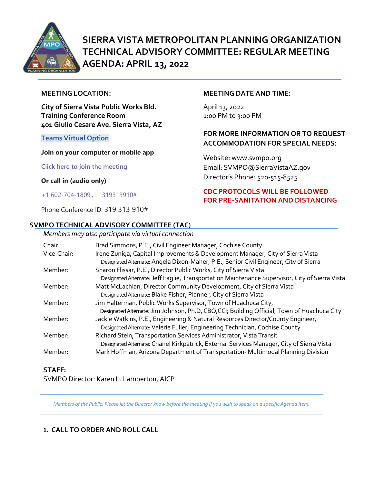

# **SIERRA VISTA METROPOLITAN PLANNING ORGANIZATION TECHNICAL ADVISORY COMMITTEE: REGULAR MEETING AGENDA: APRIL 13, 2022**

#### **MEETING LOCATION:**

**City of Sierra Vista Public Works Bld. Training Conference Room 401 Giulio Cesare Ave. Sierra Vista, AZ**

#### **Teams Virtual Option**

#### **Join on your computer or mobile app**

**[Click here to join the meeting](https://teams.microsoft.com/l/meetup-join/19%3ameeting_MGQ5YTEzMmYtMWU5My00YWFjLWI0YjYtZmUwZmRiMTY0YWU4%40thread.v2/0?context=%7b%22Tid%22%3a%2236676c86-4a76-422a-8d4e-223152386488%22%2c%22Oid%22%3a%22956098f9-794b-4934-9a34-9a99f53bf1f3%22%7d)**

**Or call in (audio only)**

[+1 602-704-1809,, 319313910#](tel:+16027041809,,319313910%23%20)

Phone Conference ID: 319 313 910#

#### **SVMPO TECHNICAL ADVISORY COMMITTEE (TAC)**

#### *Members may also participate via virtual connection*

#### **MEETING DATE AND TIME:**

April 13, 2022 1:0o PM to 3:00 PM

#### **FOR MORE INFORMATION OR TO REQUEST ACCOMMODATION FOR SPECIAL NEEDS:**

Website: www.svmpo.org Email: SVMPO@SierraVistaAZ.gov Director's Phone: 520-515-8525

#### **CDC PROTOCOLS WILL BE FOLLOWED FOR PRE-SANITATION AND DISTANCING**

| <u>memocromay also participate via virtoal comicetion</u> |                                                                                                                                                                         |
|-----------------------------------------------------------|-------------------------------------------------------------------------------------------------------------------------------------------------------------------------|
| Chair:                                                    | Brad Simmons, P.E., Civil Engineer Manager, Cochise County                                                                                                              |
| Vice-Chair:                                               | Irene Zuniga, Capital Improvements & Development Manager, City of Sierra Vista<br>Designated Alternate: Angela Dixon-Maher, P.E., Senior Civil Engineer, City of Sierra |
| Member:                                                   | Sharon Flissar, P.E., Director Public Works, City of Sierra Vista                                                                                                       |
|                                                           | Designated Alternate: Jeff Faglie, Transportation Maintenance Supervisor, City of Sierra Vista                                                                          |
| Member:                                                   | Matt McLachlan, Director Community Development, City of Sierra Vista                                                                                                    |
|                                                           | Designated Alternate: Blake Fisher, Planner, City of Sierra Vista                                                                                                       |
| Member:                                                   | Jim Halterman, Public Works Supervisor, Town of Huachuca City,<br>Designated Alternate: Jim Johnson, Ph.D, CBO,CCI; Building Official, Town of Huachuca City            |
| Member:                                                   | Jackie Watkins, P.E., Engineering & Natural Resources Director/County Engineer,                                                                                         |
|                                                           | Designated Alternate: Valerie Fuller, Engineering Technician, Cochise County                                                                                            |
| Member:                                                   | Richard Stein, Transportation Services Administrator, Vista Transit                                                                                                     |
|                                                           | Designated Alternate: Chanel Kirkpatrick, External Services Manager, City of Sierra Vista                                                                               |
| Member:                                                   | Mark Hoffman, Arizona Department of Transportation-Multimodal Planning Division                                                                                         |
|                                                           |                                                                                                                                                                         |

#### **STAFF:**

SVMPO Director: Karen L. Lamberton, AICP

*Members of the Public: Please let the Director know before the meeting if you wish to speak on a specific Agenda Item.* 

### **1. CALL TO ORDER AND ROLL CALL**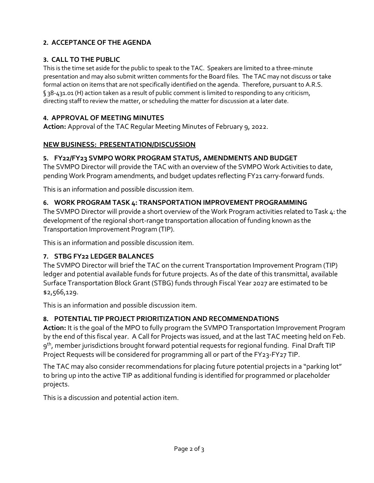# **2. ACCEPTANCE OF THE AGENDA**

# **3. CALL TO THE PUBLIC**

This is the time set aside for the public to speak to the TAC. Speakers are limited to a three-minute presentation and may also submit written comments for the Board files. The TAC may not discuss or take formal action on items that are not specifically identified on the agenda. Therefore, pursuant to A.R.S. § 38-431.01 (H) action taken as a result of public comment is limited to responding to any criticism, directing staff to review the matter, or scheduling the matter for discussion at a later date.

### **4. APPROVAL OF MEETING MINUTES**

**Action:** Approval of the TAC Regular Meeting Minutes of February 9, 2022.

### **NEW BUSINESS: PRESENTATION/DISCUSSION**

### **5. FY22/FY23 SVMPO WORK PROGRAM STATUS, AMENDMENTS AND BUDGET**

The SVMPO Director will provide the TAC with an overview of the SVMPO Work Activities to date, pending Work Program amendments, and budget updates reflecting FY21 carry-forward funds.

This is an information and possible discussion item.

### **6. WORK PROGRAM TASK 4: TRANSPORTATION IMPROVEMENT PROGRAMMING**

The SVMPO Director will provide a short overview of the Work Program activities related to Task 4: the development of the regional short-range transportation allocation of funding known as the Transportation Improvement Program (TIP).

This is an information and possible discussion item.

# **7. STBG FY22 LEDGER BALANCES**

The SVMPO Director will brief the TAC on the current Transportation Improvement Program (TIP) ledger and potential available funds for future projects. As of the date of this transmittal, available Surface Transportation Block Grant (STBG) funds through Fiscal Year 2027 are estimated to be \$2,566,129.

This is an information and possible discussion item.

# **8. POTENTIAL TIP PROJECT PRIORITIZATION AND RECOMMENDATIONS**

**Action:** It is the goal of the MPO to fully program the SVMPO Transportation Improvement Program by the end of this fiscal year. A Call for Projects was issued, and at the last TAC meeting held on Feb. 9<sup>th</sup>, member jurisdictions brought forward potential requests for regional funding. Final Draft TIP Project Requests will be considered for programming all or part of the FY23-FY27 TIP.

The TAC may also consider recommendations for placing future potential projects in a "parking lot" to bring up into the active TIP as additional funding is identified for programmed or placeholder projects.

This is a discussion and potential action item.